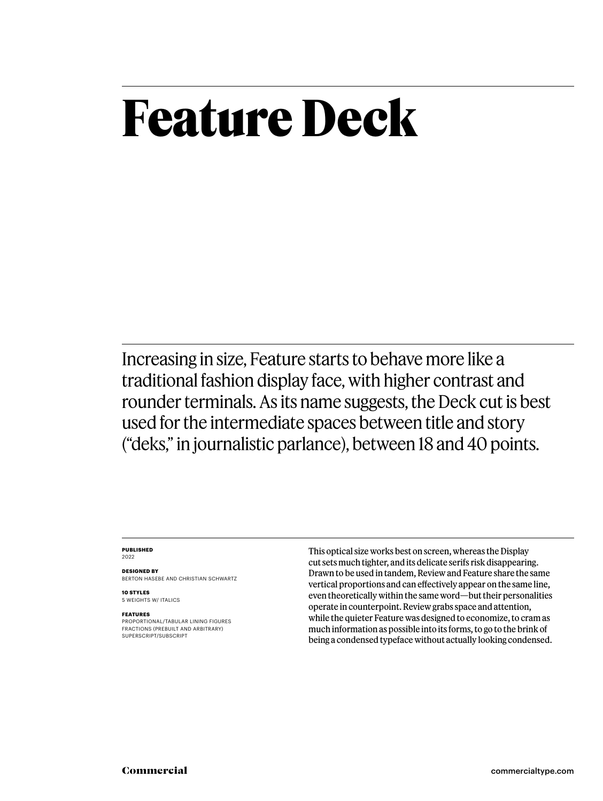## **Feature Deck**

Increasing in size, Feature starts to behave more like a traditional fashion display face, with higher contrast and rounder terminals. As its name suggests, the Deck cut is best used for the intermediate spaces between title and story ("deks," in journalistic parlance), between 18 and 40 points.

### **PUBLISHED** 2022

**DESIGNED BY** BERTON HASEBE AND CHRISTIAN SCHWARTZ

**10 STYLES** 5 WEIGHTS W/ ITALICS

### **FEATURES**

PROPORTIONAL/TABULAR LINING FIGURES FRACTIONS (PREBUILT AND ARBITRARY) SUPERSCRIPT/SUBSCRIPT

This optical size works best on screen, whereas the Display cut sets much tighter, and its delicate serifs risk disappearing. Drawn to be used in tandem, Review and Feature share the same vertical proportions and can effectively appear on the same line, even theoretically within the same word—but their personalities operate in counterpoint. Review grabs space and attention, while the quieter Feature was designed to economize, to cram as much information as possible into its forms, to go to the brink of being a condensed typeface without actually looking condensed.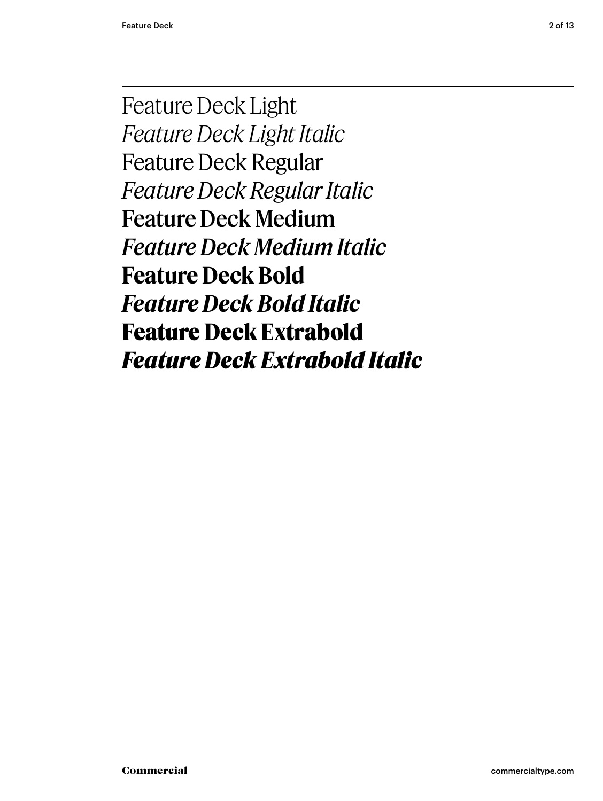Feature Deck Light *Feature Deck Light Italic* Feature Deck Regular *Feature Deck Regular Italic* Feature Deck Medium *Feature Deck Medium Italic* **Feature Deck Bold** *Feature Deck Bold Italic* **Feature Deck Extrabold** *Feature Deck Extrabold Italic*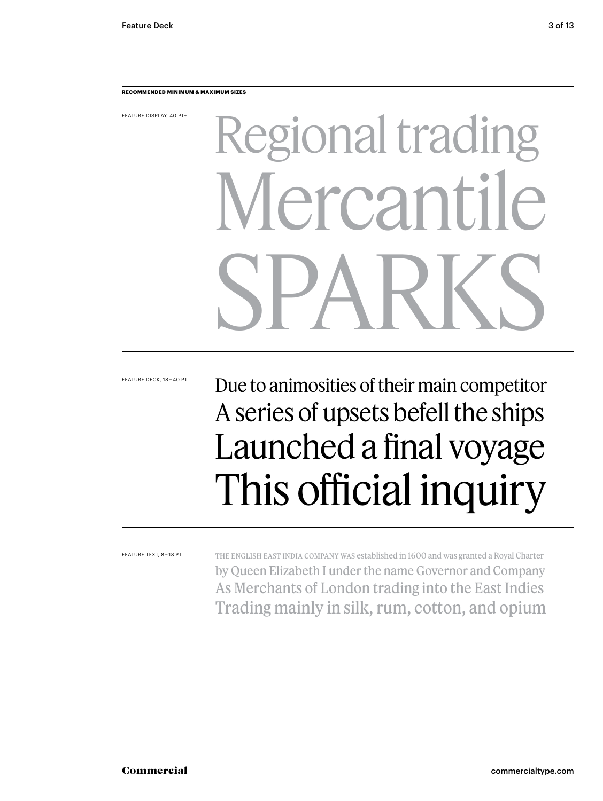### **RECOMMENDED MINIMUM & MAXIMUM SIZES**

FEATURE DISPLAY, 40 PT+

# Regional trading lercantil SPARKS

FEATURE DECK, 18 – 40 PT

### Due to animosities of their main competitor A series of upsets befell the ships Launched a final voyage This official inquiry

FEATURE TEXT, 8 – 18 PT

The English East India Company was established in 1600 and was granted a Royal Charter by Queen Elizabeth I under the name Governor and Company As Merchants of London trading into the East Indies Trading mainly in silk, rum, cotton, and opium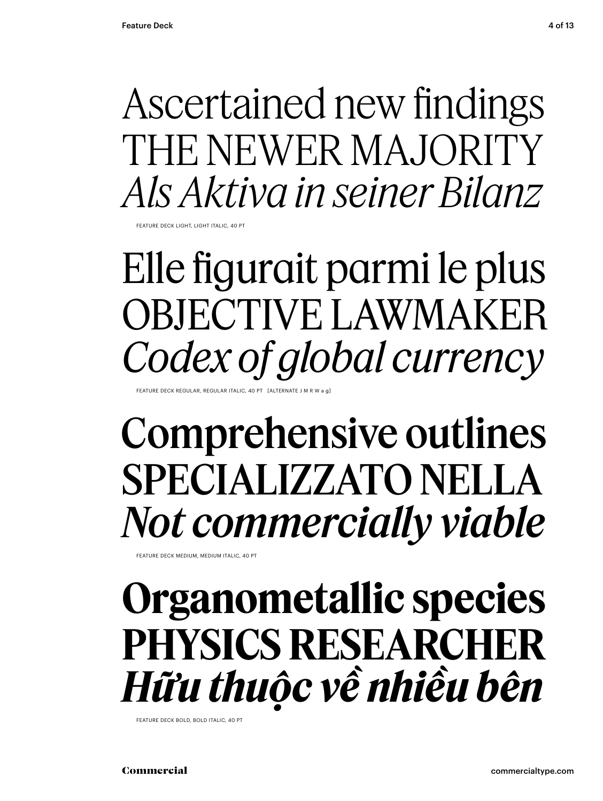### Ascertained new findings THE NEWER MAJORITY *Als Aktiva in seiner Bilanz*

FEATURE DECK LIGHT, LIGHT ITALIC, 40 PT

Elle figurait parmi le plus OBJECTIVE LAWMAKER *Codex of global currency*

EATURE DECK REGULAR, REGULAR ITALIC, 40 PT

### Comprehensive outlines SPECIALIZZATO NELLA *Not commercially viable*

FEATURE DECK MEDIUM, MEDIUM ITALIC, 40 PT

### **Organometallic species PHYSICS RESEARCHER** *Hữu thuộc về nhiều bên*

FEATURE DECK BOLD, BOLD ITALIC, 40 PT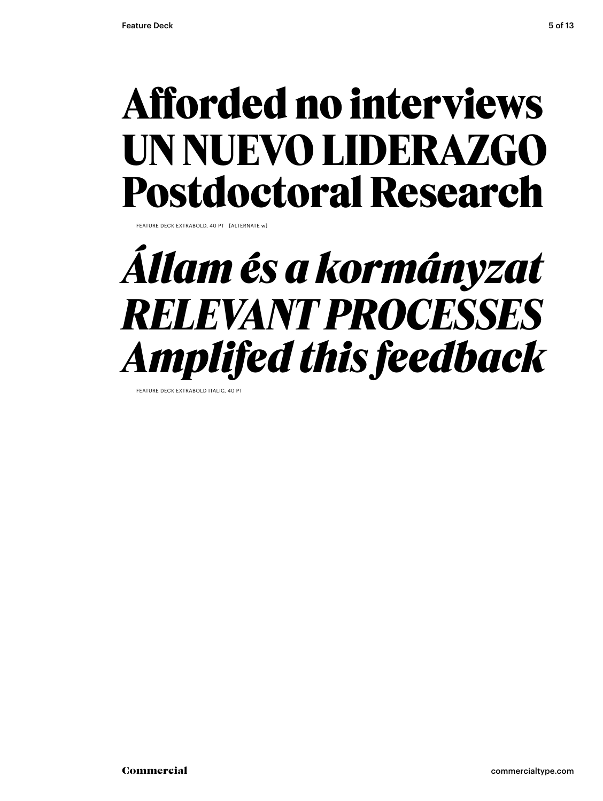### **Afforded no interviews UN NUEVO LIDERAZGO Postdoctoral Research**

**FATURE DECK EXTRABOLD, 40 PT [ALTERNATE w]** 

### *Állam és a kormányzat RELEVANT PROCESSES Amplifed this feedback*

**FEATURE DECK EXTRABOLD ITALIC**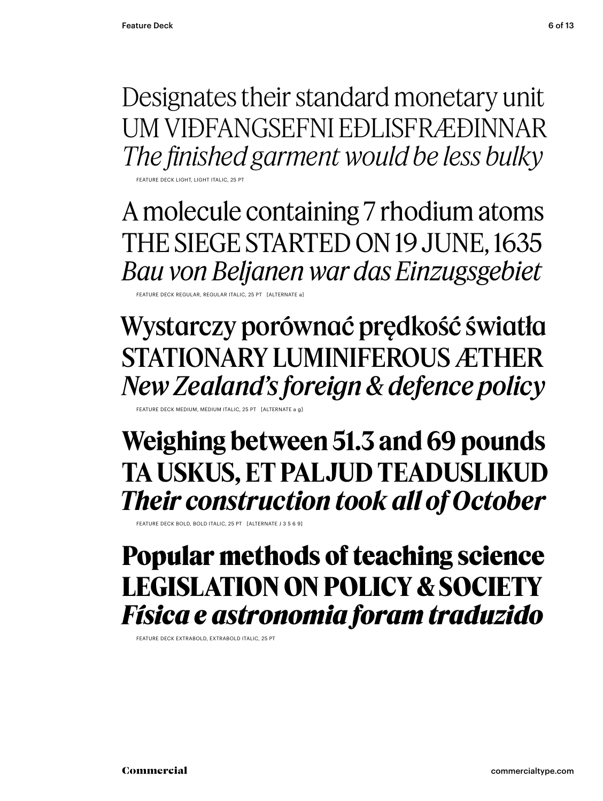Designates their standard monetary unit UM VIÐFANGSEFNI EÐLISFRÆÐINNAR *The finished garment would be less bulky*

FEATURE DECK LIGHT, LIGHT ITALIC, 25 PT

A molecule containing 7 rhodium atoms THE SIEGE STARTED ON 19 JUNE, 1635 *Bau von Beljanen war das Einzugsgebiet*

FEATURE DECK REGULAR, REGULAR ITALIC, 25 PT [ALTERNATE a]

Wystarczy porównać prędkość światła STATIONARY LUMINIFEROUS ÆTHER *New Zealand's foreign & defence policy*

FEATURE DECK MEDIUM, MEDIUM ITALIC, 25 PT [ALTERNATE a g]

**Weighing between 51.3 and 69 pounds TA USKUS, ET PALJUD TEADUSLIKUD** *Their construction took all of October*

FEATURE DECK BOLD, BOLD ITALIC, 25 PT [ALTERNATE J 3 5 6 9]

### **Popular methods of teaching science LEGISLATION ON POLICY & SOCIETY** *Física e astronomia foram traduzido*

FEATURE DECK EXTRABOLD, EXTRABOLD ITALIC, 25 PT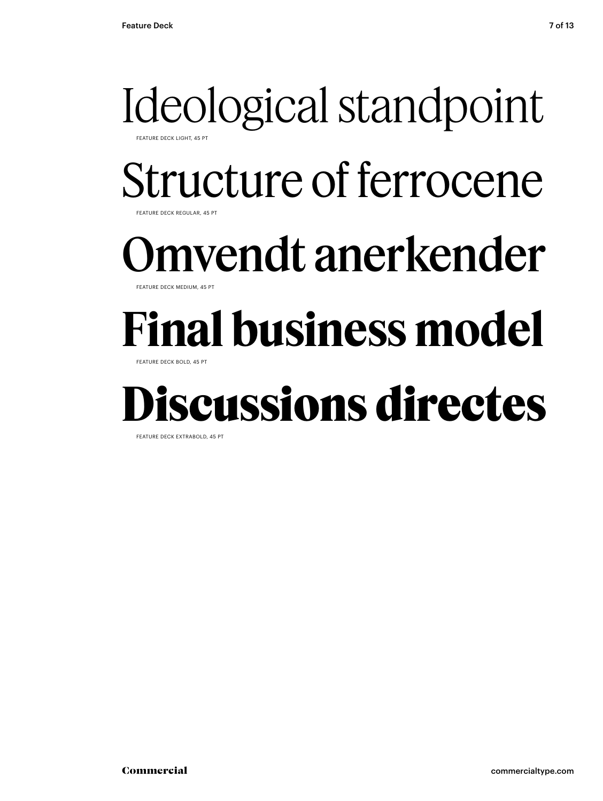### Ideological standpoint FEATURE DECK LIGHT, 45 PT

Structure of ferrocene

FEATURE DECK REGULAR, 45 PT

### mvendt anerkender

**FEATURE DECK MEDIUM, 45 PT** 

## **Final business model**

FEATURE DECK BOLD, 45 PT

### **Discussions directes**

FEATURE DECK EXTRABOLD, 45 PT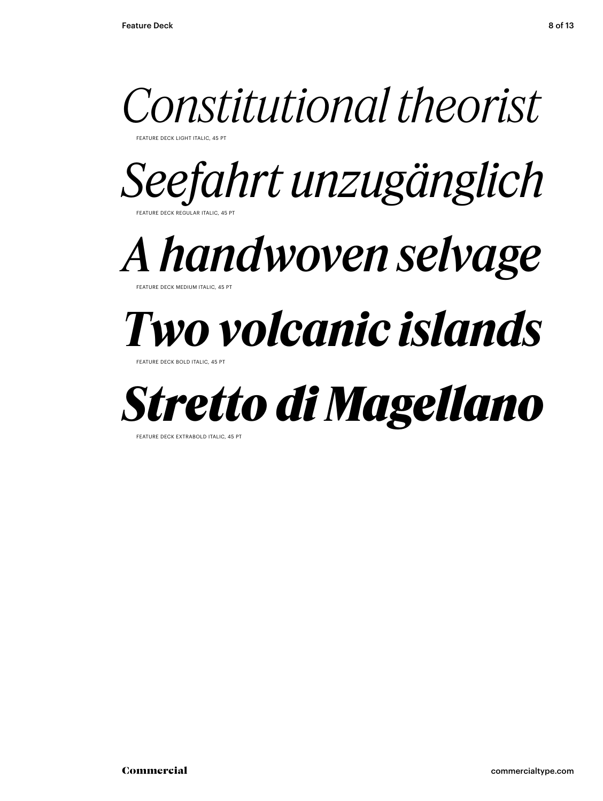

FEATURE DECK LIGHT ITALIC, 45 PT

*Seefahrt unzugänglich* FEATURE DECK REGULAR ITALIC, 45 PT

*A handwoven selvage*

**FATURE DECK MEDIUM ITAL** 

## *Two volcanic islands*

FEATURE DECK BOLD ITALIC, 45



FEATURE DECK EXTRABOLD ITALIC, 45 PT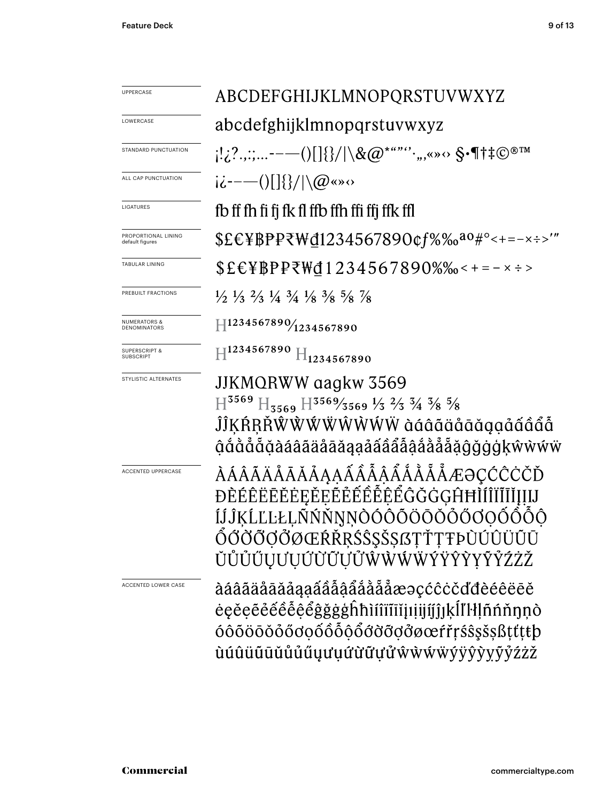| <b>UPPERCASE</b>                             | ABCDEFGHIJKLMNOPQRSTUVWXYZ                                                                                                                                                                                                                                |  |  |  |  |  |
|----------------------------------------------|-----------------------------------------------------------------------------------------------------------------------------------------------------------------------------------------------------------------------------------------------------------|--|--|--|--|--|
| LOWERCASE                                    | abcdefghijklmnopqrstuvwxyz                                                                                                                                                                                                                                |  |  |  |  |  |
| STANDARD PUNCTUATION                         | $[12?,$ ;;-- $  ()$ $[]$ $\{$ $\}/$ $\setminus$ $\&$ $@^{$ * "" $``$ , , «» $\circ$ $\,$ $\mathcal{S}}$ $\cdot$ $\P$ $\dag$ $\ddagger$ $\mathbb{C}$ ${}^{\circ}$ ${}^{\circ}$ ${}^{\circ}$                                                                |  |  |  |  |  |
| ALL CAP PUNCTUATION                          | $i\dot{\epsilon}$ ----()[]{}/ \@«» $\circ$                                                                                                                                                                                                                |  |  |  |  |  |
| LIGATURES                                    | fb ff fh fi fj fk fl ffb ffh ffi ffj ffk ffl                                                                                                                                                                                                              |  |  |  |  |  |
| PROPORTIONAL LINING<br>default figures       | $EEWPPPZWd1234567890qf\% \%o^{a0\#°-+=-x\div~''}$                                                                                                                                                                                                         |  |  |  |  |  |
| TABULAR LINING                               | $$EEYBPP\bar{\tau}Wd1234567890\%$ %-+=-x ÷>                                                                                                                                                                                                               |  |  |  |  |  |
| PREBUILT FRACTIONS                           | $\frac{1}{2}$ $\frac{1}{3}$ $\frac{2}{3}$ $\frac{1}{4}$ $\frac{3}{4}$ $\frac{1}{8}$ $\frac{3}{8}$ $\frac{5}{8}$ $\frac{7}{8}$                                                                                                                             |  |  |  |  |  |
| <b>NUMERATORS &amp;</b><br>DENOMINATORS      | $H^{1234567890}/_{1234567890}$                                                                                                                                                                                                                            |  |  |  |  |  |
| <b>SUPERSCRIPT &amp;</b><br><b>SUBSCRIPT</b> | $H^{1234567890}$ $H_{1234567890}$                                                                                                                                                                                                                         |  |  |  |  |  |
| STYLISTIC ALTERNATES                         | JJKMQRWW qagkw 3569<br>$H^{3569}$ H <sub>3569</sub> H <sup>3569</sup> /3569 <sup>1</sup> / <sub>3</sub> <sup>2</sup> / <sub>3</sub> <sup>3</sup> / <sub>4</sub> <sup>3</sup> / <sub>8</sub> <sup>5</sup> / <sub>8</sub><br>ĴĴĶŔŖŘŴŴŴŴŴŴŴŴ àáâãäåāǎąạåấâẩå |  |  |  |  |  |
| <b>ACCENTED UPPERCASE</b>                    | ÀÁÂÃÄÅĀĂĂĂĄĄÁÂÂÂÅÅÅÅÆƏÇĆĈĊČĎ<br>ĐÈÉÊËĒĔĖEĚEĔĚÉÊÊÊÊĜĞĞGĤĦÌÍÎÏĬĬĮIJIJ<br>ÍJĴĶĹĽĿŁĻÑŃŇŊŅÒÓÔŎÖŌŎŎŐŎQŎÔÔÔ<br>ÓŐÖÖÖŐØŒŔŘRŚŜŞŠŞſSŢŤŢŦÞÙÚÛÜŨŪ<br>ŬŮŮŰŲƯŲŰŨŨŲŮŴŴŴŴÝŸŶŶŸŶŹŻŽ                                                                                        |  |  |  |  |  |
| ACCENTED LOWER CASE                          | àáâãäåāăåaaáââåååååååæəçćĉċčďđèéêëēĕ<br>ėęěęẽéểêễệểĝğġġĥħìíîïĩiĭįıịijíjĵĮķĺľŀłļñńňŋņò<br>óôõöōŏőőơọốôỗộổơờỡợởøœŕřŗśŝşšşßţťţŧþ<br>ùúûüūūŭůůúúuuuứừữựửŵŵŵŵÿŷỳyỹỷźżž                                                                                         |  |  |  |  |  |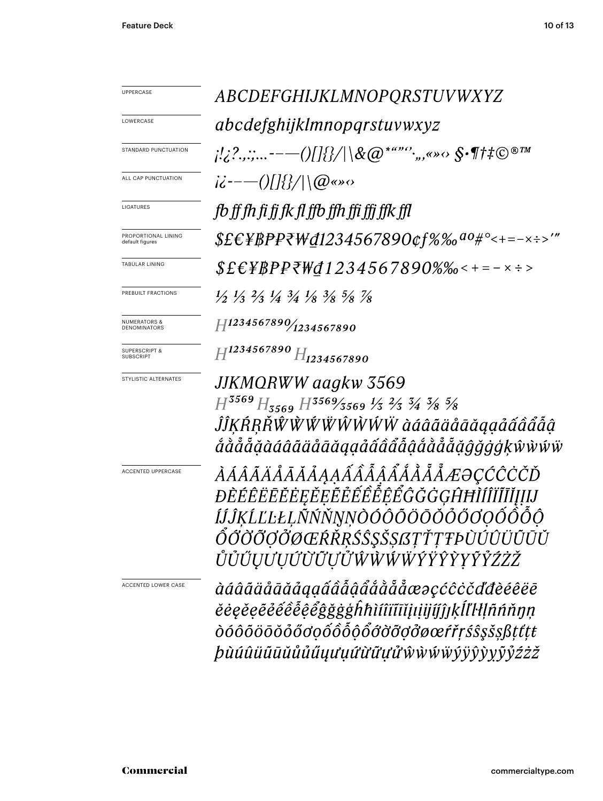| <b>UPPERCASE</b>                             | ABCDEFGHIJKLMNOPQRSTUVWXYZ                                                                                                                                                                              |  |  |  |  |  |  |
|----------------------------------------------|---------------------------------------------------------------------------------------------------------------------------------------------------------------------------------------------------------|--|--|--|--|--|--|
| LOWERCASE                                    | <i>abcdefghijklmnopqrstuvwxyz</i>                                                                                                                                                                       |  |  |  |  |  |  |
| STANDARD PUNCTUATION                         | $\mu_1^{\prime},\ldots\ldots\ldots\ldots\ldots\ldots\ldots\ldots\ldots\otimes\alpha\cong\cdots\otimes\cdots\otimes\cdots\otimes\cdots\otimes\cdots\otimes\cdots\otimes\cdots\otimes\cdots\otimes\cdots$ |  |  |  |  |  |  |
| ALL CAP PUNCTUATION                          | $i\ddot{\epsilon}$ ----()[]{}/ \@«» $\circ$                                                                                                                                                             |  |  |  |  |  |  |
| LIGATURES                                    | fb ff fh fi fi fk fl ffb ffh ffi ffi ffk ffl                                                                                                                                                            |  |  |  |  |  |  |
| PROPORTIONAL LINING<br>default figures       | $$EEYBP$ P\W@1234567890¢f%‰ <sup>ao#</sup> °<+=-x÷>'"                                                                                                                                                   |  |  |  |  |  |  |
| TABULAR LINING                               | $$E$ E\}}PP\\del 1234567890%% < + = - x : >                                                                                                                                                             |  |  |  |  |  |  |
| PREBUILT FRACTIONS                           | $\frac{1}{2}$ $\frac{1}{3}$ $\frac{2}{3}$ $\frac{1}{4}$ $\frac{3}{4}$ $\frac{1}{8}$ $\frac{3}{8}$ $\frac{5}{8}$ $\frac{7}{8}$                                                                           |  |  |  |  |  |  |
| <b>NUMERATORS &amp;</b><br>DENOMINATORS      | $H^{1234567890}/_{1234567890}$                                                                                                                                                                          |  |  |  |  |  |  |
| <b>SUPERSCRIPT &amp;</b><br><b>SUBSCRIPT</b> | $H^{1234567890}H_{1234567890}$                                                                                                                                                                          |  |  |  |  |  |  |
| STYLISTIC ALTERNATES                         | JJKMQRWW aagkw 3569<br>$H^{3569}H_{3569}H^{3569/3569}\frac{1}{3}$ $\frac{2}{3}$ $\frac{3}{4}$ $\frac{3}{8}$ $\frac{5}{8}$<br>ĴĴKŔŖŘŴŴŴŴŴŴŴŴ àáâãäåāăąạåấâẩẫậ<br>ắằẳẵẵặàáâãääåāŭqạảấâẩẫậắằẳẵẵǧǧġģķŵẁŵŵ   |  |  |  |  |  |  |
| ACCENTED UPPERCASE                           | ÀÁÂÃÄÅĀĂĂÅĄĄÁÂÂÂÅÅÅÅÅÆƏÇĆĈĊČĎ<br>ĐÈÉÊËĒĔĔEĘĚEĔĚÊÊÊÊÊĜĞĞGĤĦÌÍÎĬĨĬĮIJIJ<br>ÍĴĴĶĹĽĿŁĻÑŃŇŅNÒÓÔÕÖŌŎŎŐŎOŐ<br>ŐŐŎÕŎŎŎŒŔŘŖŚŜŞŠŞſĠŢŤŢŦÞÙÚÛÜŨŪŬ<br>ŮŮŰŲƯŲŰŨŨŨŮŴŴŴŴŶŸŶŶYŶŹŹŽ                                       |  |  |  |  |  |  |
| ACCENTED LOWER CASE                          | àáâãäåāāăåąạấâẫậẩåååååæəçćĉċčďđèéêëē<br>ĕėęĕęẽêêêêệêĝğġġĥħìíîïīĭjıiijíjĵĮķĺľŀlļñńňŋņ<br>ÒÓÔÕÖŌŎŐŐŎQÕÔÕÕŐÕŎŎŎØœŕřŗŚŜŞŠŞßţťţŧ<br><i>þùúûüūūŭůůűuuuuûữữựửŵ</i> ẁŵŵÿŷŷŷyỹ <i>ỷźżž</i>                       |  |  |  |  |  |  |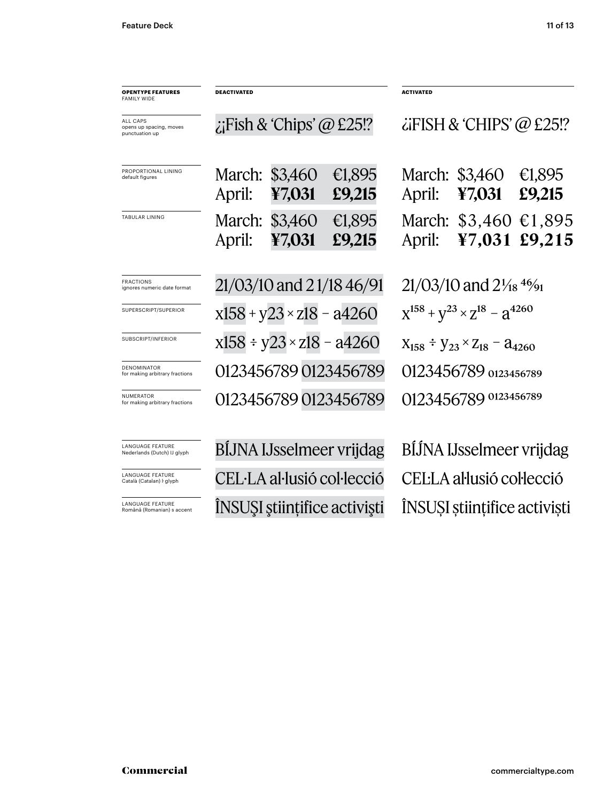| <b>OPENTYPE FEATURES</b><br><b>FAMILY WIDE</b>               | <b>DEACTIVATED</b>                 |                   |                              | <b>ACTIVATED</b>                                |                          |                  |
|--------------------------------------------------------------|------------------------------------|-------------------|------------------------------|-------------------------------------------------|--------------------------|------------------|
| <b>ALL CAPS</b><br>opens up spacing, moves<br>punctuation up | $\chi$ Fish & 'Chips' @ £25!?      |                   |                              | $\ddot{\text{c}}$ iFISH & 'CHIPS' @ £25!?       |                          |                  |
| PROPORTIONAL LINING<br>default figures                       | March:<br>April:                   | \$3,460<br>¥7,031 | €1,895<br>£9,215             | April:                                          | March: \$3,460<br>¥7,031 | €1,895<br>£9,215 |
| TABULAR LINING                                               | March:<br>April:                   | \$3,460<br>¥7,031 | €1,895<br>£9,215             | April:                                          | March: \$3,460<br>¥7,031 | €1,895<br>£9,215 |
| <b>FRACTIONS</b><br>ignores numeric date format              | 21/03/10 and 21/18 46/91           |                   |                              | $21/03/10$ and $2\frac{1}{18}$ 4%               |                          |                  |
| SUPERSCRIPT/SUPERIOR                                         | $x158 + y23 \times z18 - a4260$    |                   |                              | $X^{158} + Y^{23} \times Z^{18} - Z^{4260}$     |                          |                  |
| SUBSCRIPT/INFERIOR                                           | $x158 \div y23 \times z18 - a4260$ |                   |                              | $X_{158} \div Y_{23} \times Z_{18} - 24_{4260}$ |                          |                  |
| DENOMINATOR<br>for making arbitrary fractions                | 0123456789 0123456789              |                   |                              | 0123456789 0123456789                           |                          |                  |
| NUMERATOR<br>for making arbitrary fractions                  | 0123456789 0123456789              |                   |                              | 0123456789 0123456789                           |                          |                  |
| <b>LANGUAGE FEATURE</b><br>Nederlands (Dutch) IJ glyph       | BIJNA IJsselmeer vrijdag           |                   |                              | BIJNA IJsselmeer vrijdag                        |                          |                  |
| <b>LANGUAGE FEATURE</b><br>Català (Catalan) I glyph          | CEL·LA al·lusió col·lecció         |                   |                              | CEL·LA al·lusió col·lecció                      |                          |                  |
| <b>LANGUAGE FEATURE</b><br>Română (Romanian) s accent        |                                    |                   | ÎNSUȘI științifice activiști | ÎNSUȘI științifice activiști                    |                          |                  |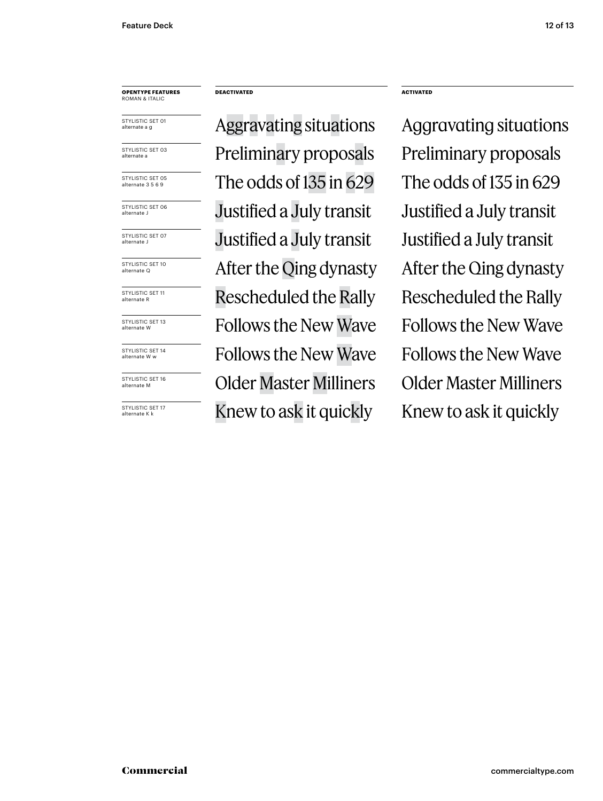### **OPENTYPE FEATURES** ROMAN & ITALIC

STYLISTIC SET 01 alternate a g

STYLISTIC SET 03 alternate a

STYLISTIC SET 05 alternate 3 5 6 9

STYLISTIC SET 06 alternate J

STYLISTIC SET 07 alternate J

STYLISTIC SET 10 alternate Q

STYLISTIC SET 11 alternate R

STYLISTIC SET 13 alternate W

STYLISTIC SET 14 alternate W w

STYLISTIC SET 16 alternate M

STYLISTIC SFT 17 alternate K k

### **DEACTIVATED ACTIVATED**

Aggravating situations Aggravating situations Preliminary proposals Preliminary proposals The odds of  $135$  in  $629$  The odds of  $135$  in  $629$ Justified a July transit Justified a July transit Justified a July transit Justified a July transit After the Qing dynasty After the Qing dynasty Rescheduled the Rally Rescheduled the Rally Follows the New Wave Follows the New Wave Follows the New Wave Follows the New Wave Older Master Milliners Older Master Milliners Knew to ask it quickly Knew to ask it quickly